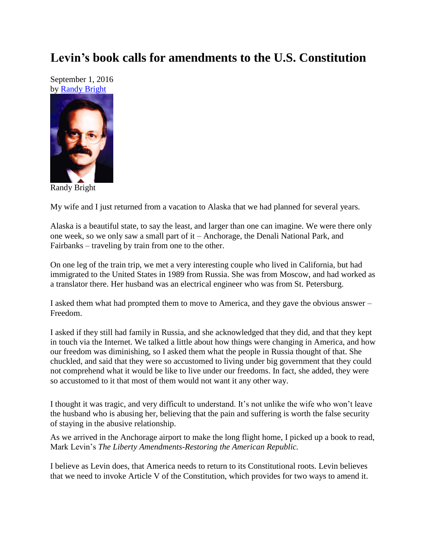## **Levin's book calls for amendments to the U.S. Constitution**

September 1, 2016 by [Randy Bright](http://tulsabeacon.com/writers/randy-bright/)



Randy Bright

My wife and I just returned from a vacation to Alaska that we had planned for several years.

Alaska is a beautiful state, to say the least, and larger than one can imagine. We were there only one week, so we only saw a small part of it – Anchorage, the Denali National Park, and Fairbanks – traveling by train from one to the other.

On one leg of the train trip, we met a very interesting couple who lived in California, but had immigrated to the United States in 1989 from Russia. She was from Moscow, and had worked as a translator there. Her husband was an electrical engineer who was from St. Petersburg.

I asked them what had prompted them to move to America, and they gave the obvious answer – Freedom.

I asked if they still had family in Russia, and she acknowledged that they did, and that they kept in touch via the Internet. We talked a little about how things were changing in America, and how our freedom was diminishing, so I asked them what the people in Russia thought of that. She chuckled, and said that they were so accustomed to living under big government that they could not comprehend what it would be like to live under our freedoms. In fact, she added, they were so accustomed to it that most of them would not want it any other way.

I thought it was tragic, and very difficult to understand. It's not unlike the wife who won't leave the husband who is abusing her, believing that the pain and suffering is worth the false security of staying in the abusive relationship.

As we arrived in the Anchorage airport to make the long flight home, I picked up a book to read, Mark Levin's *The Liberty Amendments-Restoring the American Republic.*

I believe as Levin does, that America needs to return to its Constitutional roots. Levin believes that we need to invoke Article V of the Constitution, which provides for two ways to amend it.